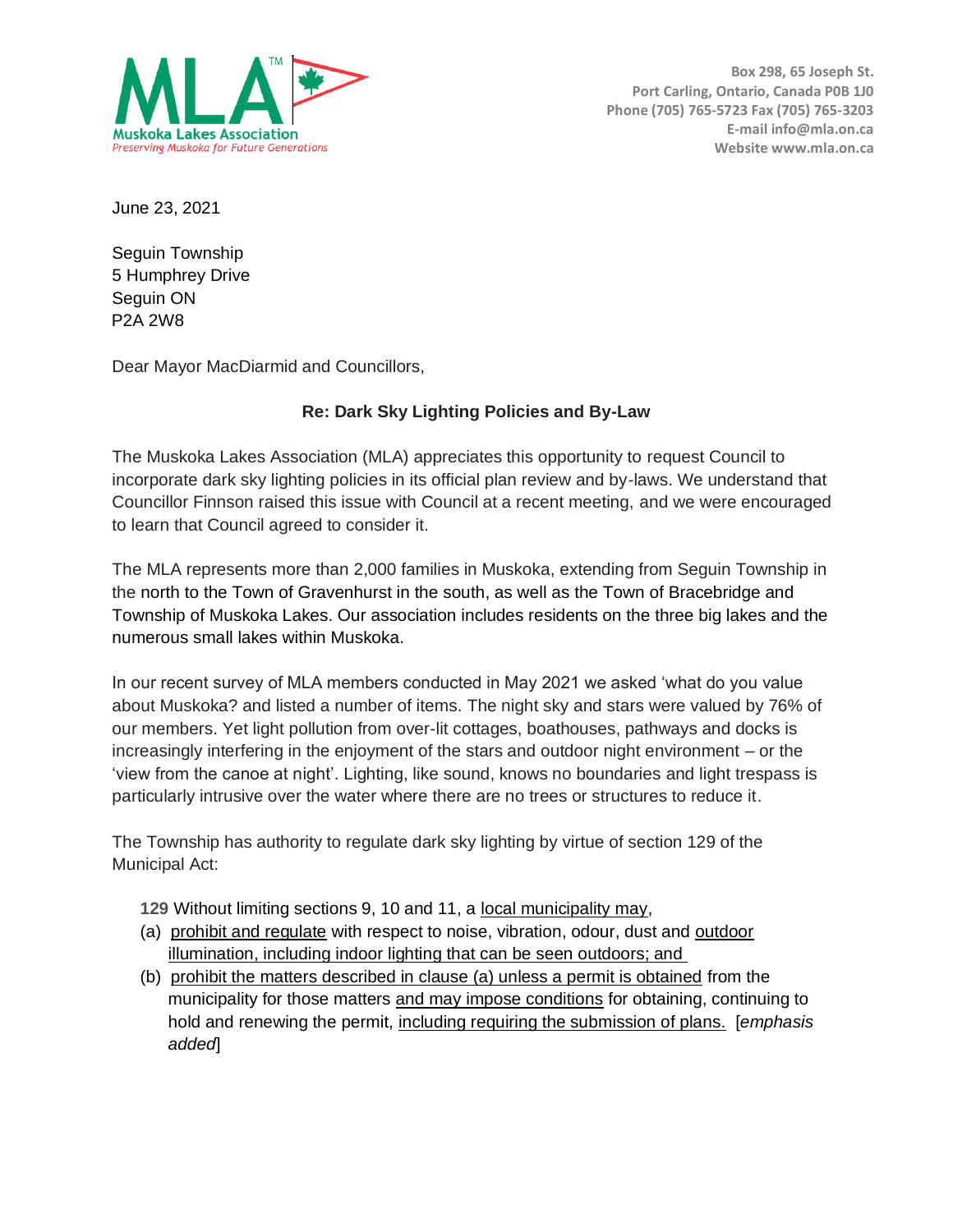

**Box 298, 65 Joseph St. Port Carling, Ontario, Canada P0B 1J0 Phone (705) 765-5723 Fax (705) 765-3203 E-mail info@mla.on.ca Website www.mla.on.ca**

June 23, 2021

Seguin Township 5 Humphrey Drive Seguin ON P2A 2W8

Dear Mayor MacDiarmid and Councillors,

## **Re: Dark Sky Lighting Policies and By-Law**

The Muskoka Lakes Association (MLA) appreciates this opportunity to request Council to incorporate dark sky lighting policies in its official plan review and by-laws. We understand that Councillor Finnson raised this issue with Council at a recent meeting, and we were encouraged to learn that Council agreed to consider it.

The MLA represents more than 2,000 families in Muskoka, extending from Seguin Township in the north to the Town of Gravenhurst in the south, as well as the Town of Bracebridge and Township of Muskoka Lakes. Our association includes residents on the three big lakes and the numerous small lakes within Muskoka.

In our recent survey of MLA members conducted in May 2021 we asked 'what do you value about Muskoka? and listed a number of items. The night sky and stars were valued by 76% of our members. Yet light pollution from over-lit cottages, boathouses, pathways and docks is increasingly interfering in the enjoyment of the stars and outdoor night environment – or the 'view from the canoe at night'. Lighting, like sound, knows no boundaries and light trespass is particularly intrusive over the water where there are no trees or structures to reduce it.

The Township has authority to regulate dark sky lighting by virtue of section 129 of the Municipal Act:

- **129** Without limiting sections 9, 10 and 11, a local municipality may,
- (a) prohibit and regulate with respect to noise, vibration, odour, dust and outdoor illumination, including indoor lighting that can be seen outdoors; and
- (b) prohibit the matters described in clause (a) unless a permit is obtained from the municipality for those matters and may impose conditions for obtaining, continuing to hold and renewing the permit, including requiring the submission of plans. [*emphasis added*]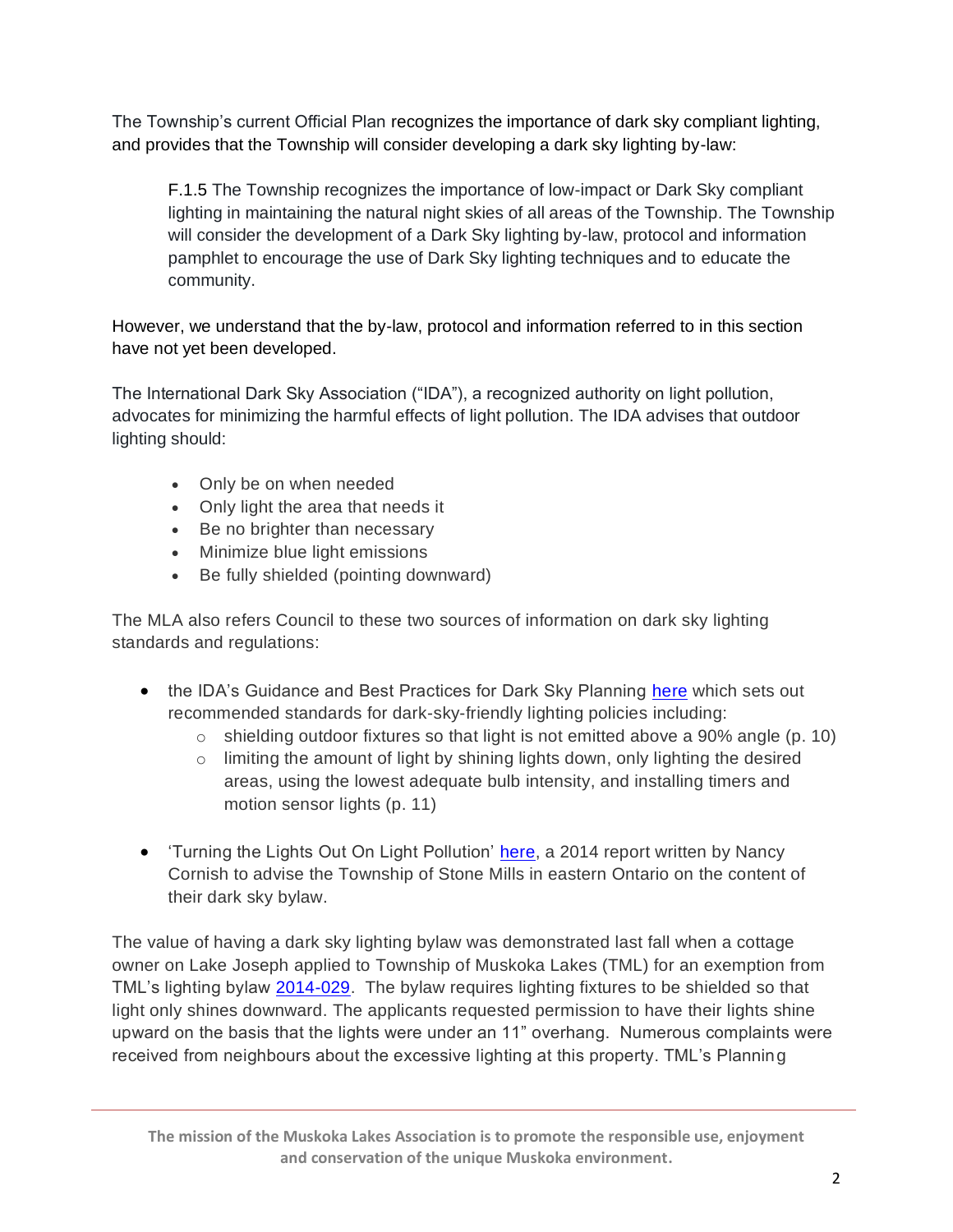The Township's current Official Plan recognizes the importance of dark sky compliant lighting, and provides that the Township will consider developing a dark sky lighting by-law:

F.1.5 The Township recognizes the importance of low-impact or Dark Sky compliant lighting in maintaining the natural night skies of all areas of the Township. The Township will consider the development of a Dark Sky lighting by-law, protocol and information pamphlet to encourage the use of Dark Sky lighting techniques and to educate the community.

However, we understand that the by-law, protocol and information referred to in this section have not yet been developed.

The International Dark Sky Association ("IDA"), a recognized authority on light pollution, advocates for minimizing the harmful effects of light pollution. The IDA advises that outdoor lighting should:

- Only be on when needed
- Only light the area that needs it
- Be no brighter than necessary
- Minimize blue light emissions
- Be fully shielded (pointing downward)

The MLA also refers Council to these two sources of information on dark sky lighting standards and regulations:

- the IDA's Guidance and Best Practices for Dark Sky Planning [here](https://www.darksky.org/wp-content/uploads/bsk-pdf-manager/2020/08/Dark-Skies-Issue-Guide-7-27-2020.pdf) which sets out recommended standards for dark-sky-friendly lighting policies including:
	- o shielding outdoor fixtures so that light is not emitted above a 90% angle (p. 10)
	- $\circ$  limiting the amount of light by shining lights down, only lighting the desired areas, using the lowest adequate bulb intensity, and installing timers and motion sensor lights (p. 11)
- Turning the Lights Out On Light Pollution' [here,](https://www.google.com/url?sa=t&rct=j&q=&esrc=s&source=web&cd=&ved=2ahUKEwi4l6vbq_rwAhVVV80KHfXiD4EQFjAMegQIFhAD&url=https%3A%2F%2Fqspace.library.queensu.ca%2Fbitstream%2Fhandle%2F1974%2F12124%2FCornish_Masters_Report.pdf%3Fsequence%3D1%26isAllowed%3Dy&usg=AOvVaw1DbgsJOJi2vFaKXXZTehzx) a 2014 report written by Nancy Cornish to advise the Township of Stone Mills in eastern Ontario on the content of their dark sky bylaw.

The value of having a dark sky lighting bylaw was demonstrated last fall when a cottage owner on Lake Joseph applied to Township of Muskoka Lakes (TML) for an exemption from TML's lighting bylaw [2014-029.](https://muskokalakes.civicweb.net/filepro/documents/78263?preview=78279) The bylaw requires lighting fixtures to be shielded so that light only shines downward. The applicants requested permission to have their lights shine upward on the basis that the lights were under an 11" overhang. Numerous complaints were received from neighbours about the excessive lighting at this property. TML's Planning

**The mission of the Muskoka Lakes Association is to promote the responsible use, enjoyment and conservation of the unique Muskoka environment.**